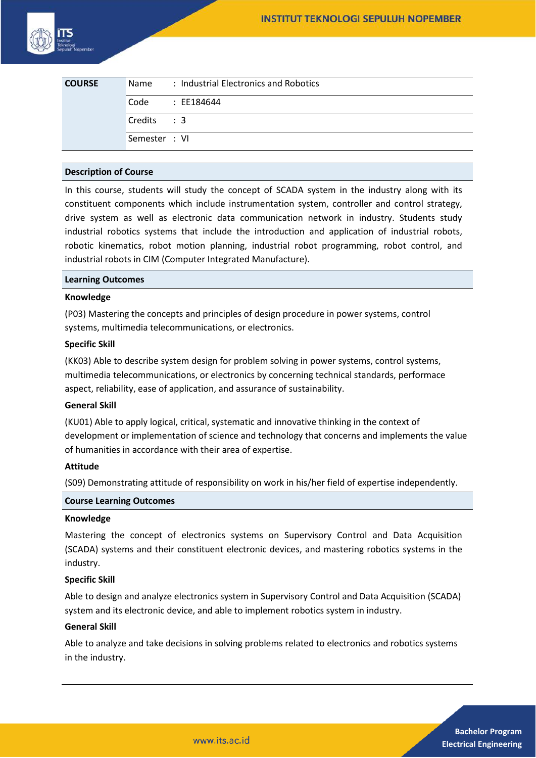| <b>COURSE</b> | Name          | : Industrial Electronics and Robotics |
|---------------|---------------|---------------------------------------|
|               | Code          | : EE184644                            |
|               | Credits : 3   |                                       |
|               | Semester : VI |                                       |

## **Description of Course**

In this course, students will study the concept of SCADA system in the industry along with its constituent components which include instrumentation system, controller and control strategy, drive system as well as electronic data communication network in industry. Students study industrial robotics systems that include the introduction and application of industrial robots, robotic kinematics, robot motion planning, industrial robot programming, robot control, and industrial robots in CIM (Computer Integrated Manufacture).

#### **Learning Outcomes**

#### **Knowledge**

(P03) Mastering the concepts and principles of design procedure in power systems, control systems, multimedia telecommunications, or electronics.

#### **Specific Skill**

(KK03) Able to describe system design for problem solving in power systems, control systems, multimedia telecommunications, or electronics by concerning technical standards, performace aspect, reliability, ease of application, and assurance of sustainability.

## **General Skill**

(KU01) Able to apply logical, critical, systematic and innovative thinking in the context of development or implementation of science and technology that concerns and implements the value of humanities in accordance with their area of expertise.

## **Attitude**

(S09) Demonstrating attitude of responsibility on work in his/her field of expertise independently.

#### **Course Learning Outcomes**

#### **Knowledge**

Mastering the concept of electronics systems on Supervisory Control and Data Acquisition (SCADA) systems and their constituent electronic devices, and mastering robotics systems in the industry.

## **Specific Skill**

Able to design and analyze electronics system in Supervisory Control and Data Acquisition (SCADA) system and its electronic device, and able to implement robotics system in industry.

## **General Skill**

Able to analyze and take decisions in solving problems related to electronics and robotics systems in the industry.